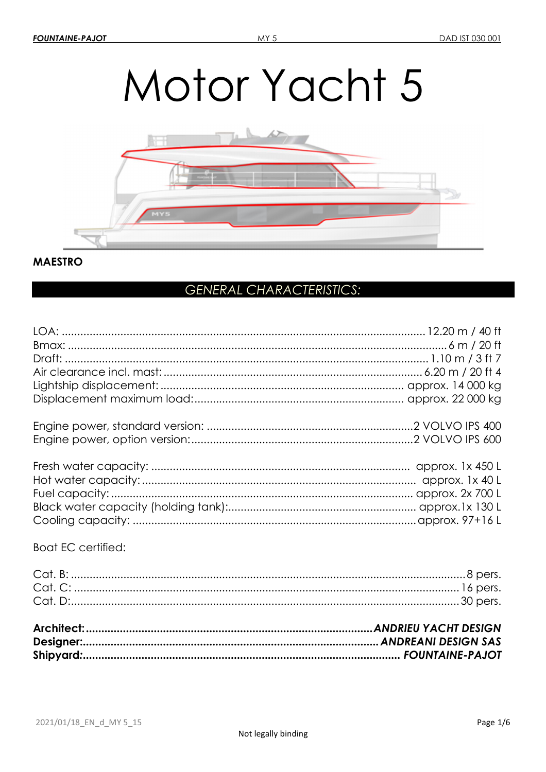# Motor Yacht 5



# **MAESTRO**

# **GENERAL CHARACTERISTICS:**

| <b>Boat EC certified:</b> |  |
|---------------------------|--|
|                           |  |
|                           |  |
|                           |  |
|                           |  |
|                           |  |
|                           |  |
|                           |  |
|                           |  |
|                           |  |
|                           |  |
|                           |  |
|                           |  |
|                           |  |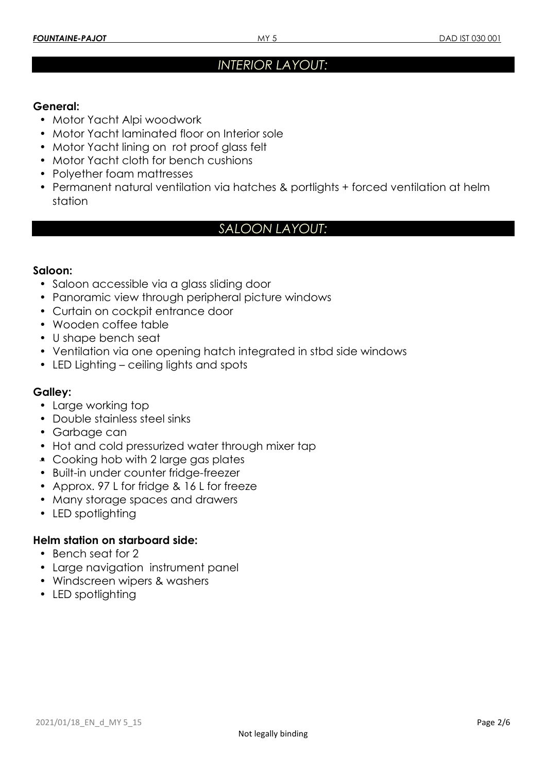# *INTERIOR LAYOUT:*

# **General:**

- Motor Yacht Alpi woodwork
- Motor Yacht laminated floor on Interior sole
- Motor Yacht lining on rot proof glass felt
- Motor Yacht cloth for bench cushions
- Polyether foam mattresses
- Permanent natural ventilation via hatches & portlights + forced ventilation at helm station

# *SALOON LAYOUT:*

# **Saloon:**

- Saloon accessible via a glass sliding door
- Panoramic view through peripheral picture windows
- Curtain on cockpit entrance door
- Wooden coffee table
- U shape bench seat
- Ventilation via one opening hatch integrated in stbd side windows
- LED Lighting ceiling lights and spots

# **Galley:**

- Large working top
- Double stainless steel sinks
- Garbage can
- Hot and cold pressurized water through mixer tap
- Cooking hob with 2 large gas plates
- Built-in under counter fridge-freezer
- Approx, 97 L for fridge & 16 L for freeze
- Many storage spaces and drawers
- LED spotlighting

# **Helm station on starboard side:**

- Bench seat for 2
- Large navigation instrument panel
- Windscreen wipers & washers
- LED spotlighting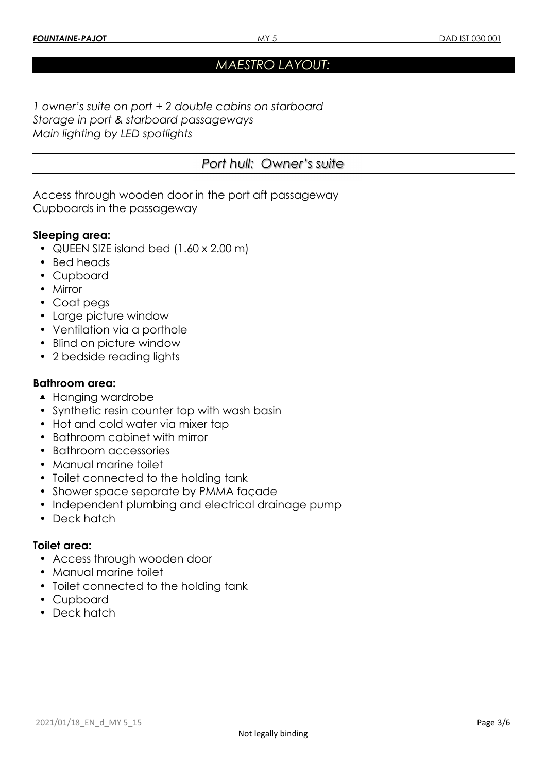# *MAESTRO LAYOUT:*

*1 owner's suite on port + 2 double cabins on starboard Storage in port & starboard passageways Main lighting by LED spotlights* 

|  | Port hull: Owner's suite |
|--|--------------------------|
|--|--------------------------|

Access through wooden door in the port aft passageway Cupboards in the passageway

# **Sleeping area:**

- QUEEN SIZE island bed (1.60 x 2.00 m)
- Bed heads
- Cupboard
- Mirror
- Coat pegs
- Large picture window
- Ventilation via a porthole
- Blind on picture window
- 2 bedside reading lights

#### **Bathroom area:**

- Hanging wardrobe
- Synthetic resin counter top with wash basin
- Hot and cold water via mixer tap
- Bathroom cabinet with mirror
- Bathroom accessories
- Manual marine toilet
- Toilet connected to the holding tank
- Shower space separate by PMMA façade
- Independent plumbing and electrical drainage pump
- Deck hatch

#### **Toilet area:**

- Access through wooden door
- Manual marine toilet
- Toilet connected to the holding tank
- Cupboard
- Deck hatch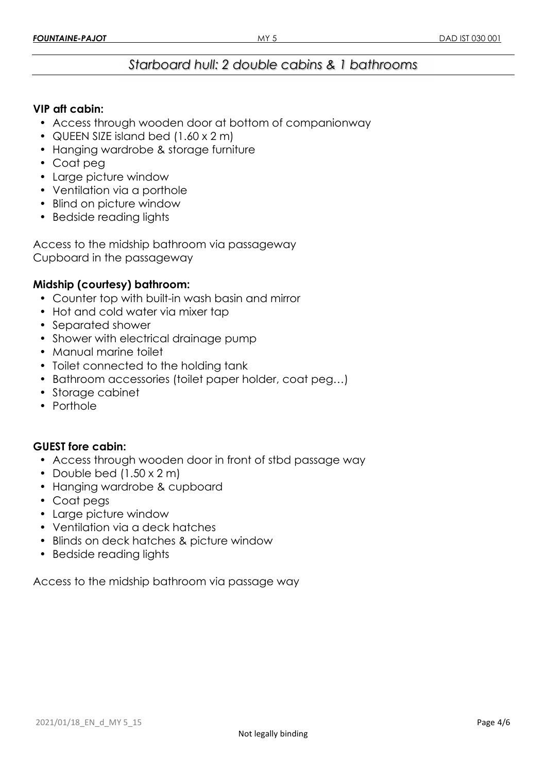# *Starboard hull: 2 double cabins & 1 bathrooms*

# **VIP aft cabin:**

- Access through wooden door at bottom of companionway
- QUEEN SIZE island bed (1.60 x 2 m)
- Hanging wardrobe & storage furniture
- Coat peg
- Large picture window
- Ventilation via a porthole
- Blind on picture window
- Bedside reading lights

Access to the midship bathroom via passageway Cupboard in the passageway

# **Midship (courtesy) bathroom:**

- Counter top with built-in wash basin and mirror
- Hot and cold water via mixer tap
- Separated shower
- Shower with electrical drainage pump
- Manual marine toilet
- Toilet connected to the holding tank
- Bathroom accessories (toilet paper holder, coat peg…)
- Storage cabinet
- Porthole

#### **GUEST fore cabin:**

- Access through wooden door in front of stbd passage way
- Double bed  $(1.50 \times 2 \text{ m})$
- Hanging wardrobe & cupboard
- Coat pegs
- Large picture window
- Ventilation via a deck hatches
- Blinds on deck hatches & picture window
- Bedside reading lights

Access to the midship bathroom via passage way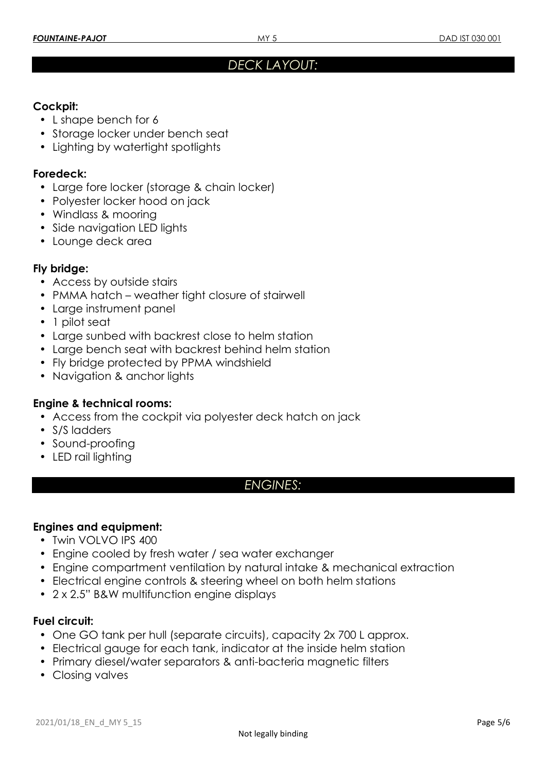# *DECK LAYOUT:*

# **Cockpit:**

- L shape bench for 6
- Storage locker under bench seat
- Lighting by watertight spotlights

#### **Foredeck:**

- Large fore locker (storage & chain locker)
- Polyester locker hood on jack
- Windlass & mooring
- Side navigation LED lights
- Lounge deck area

#### **Fly bridge:**

- Access by outside stairs
- PMMA hatch weather tight closure of stairwell
- Large instrument panel
- 1 pilot seat
- Large sunbed with backrest close to helm station
- Large bench seat with backrest behind helm station
- Fly bridge protected by PPMA windshield
- Navigation & anchor lights

# **Engine & technical rooms:**

- Access from the cockpit via polyester deck hatch on jack
- S/S ladders
- Sound-proofing
- LED rail lighting

# *ENGINES:*

# **Engines and equipment:**

- Twin VOLVO IPS 400
- Engine cooled by fresh water / sea water exchanger
- Engine compartment ventilation by natural intake & mechanical extraction
- Electrical engine controls & steering wheel on both helm stations
- 2 x 2.5" B&W multifunction engine displays

# **Fuel circuit:**

- One GO tank per hull (separate circuits), capacity 2x 700 L approx.
- Electrical gauge for each tank, indicator at the inside helm station
- Primary diesel/water separators & anti-bacteria magnetic filters
- Closing valves